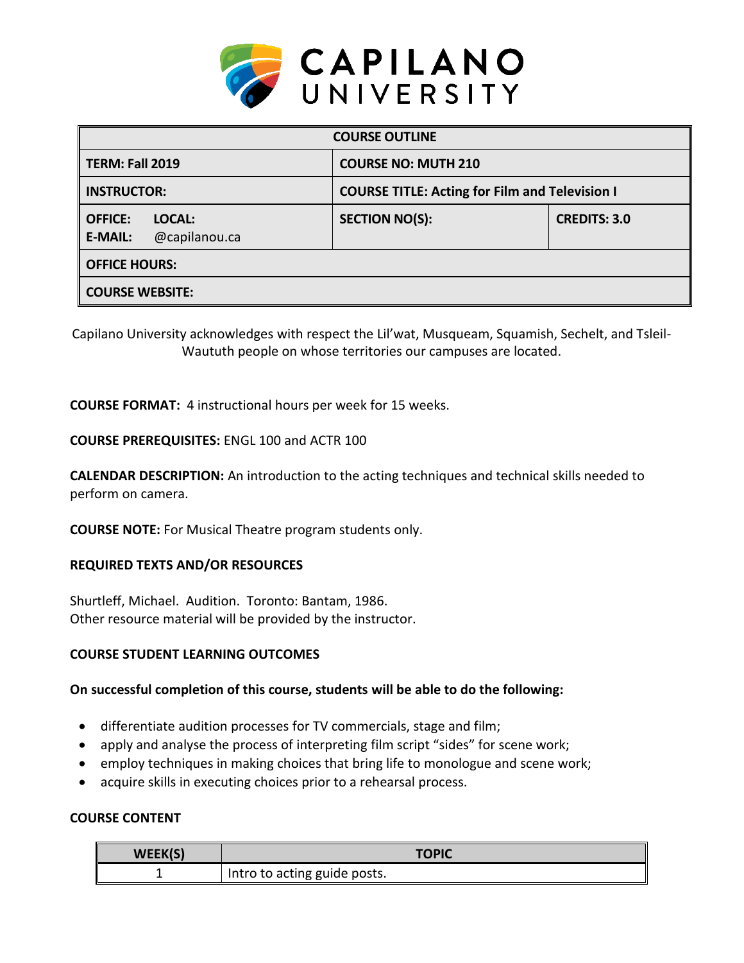

| <b>COURSE OUTLINE</b>                                       |                                                       |                     |  |
|-------------------------------------------------------------|-------------------------------------------------------|---------------------|--|
| TERM: Fall 2019                                             | <b>COURSE NO: MUTH 210</b>                            |                     |  |
| <b>INSTRUCTOR:</b>                                          | <b>COURSE TITLE: Acting for Film and Television I</b> |                     |  |
| <b>OFFICE:</b><br>LOCAL:<br><b>E-MAIL:</b><br>@capilanou.ca | <b>SECTION NO(S):</b>                                 | <b>CREDITS: 3.0</b> |  |
| <b>OFFICE HOURS:</b>                                        |                                                       |                     |  |
| <b>COURSE WEBSITE:</b>                                      |                                                       |                     |  |

Capilano University acknowledges with respect the Lil'wat, Musqueam, Squamish, Sechelt, and Tsleil-Waututh people on whose territories our campuses are located.

**COURSE FORMAT:** 4 instructional hours per week for 15 weeks.

### **COURSE PREREQUISITES:** ENGL 100 and ACTR 100

**CALENDAR DESCRIPTION:** An introduction to the acting techniques and technical skills needed to perform on camera.

**COURSE NOTE:** For Musical Theatre program students only.

### **REQUIRED TEXTS AND/OR RESOURCES**

Shurtleff, Michael. Audition. Toronto: Bantam, 1986. Other resource material will be provided by the instructor.

### **COURSE STUDENT LEARNING OUTCOMES**

#### **On successful completion of this course, students will be able to do the following:**

- differentiate audition processes for TV commercials, stage and film;
- apply and analyse the process of interpreting film script "sides" for scene work;
- employ techniques in making choices that bring life to monologue and scene work;
- acquire skills in executing choices prior to a rehearsal process.

### **COURSE CONTENT**

| WEEK(S) | <b>TOPIC</b>                 |
|---------|------------------------------|
|         | Intro to acting guide posts. |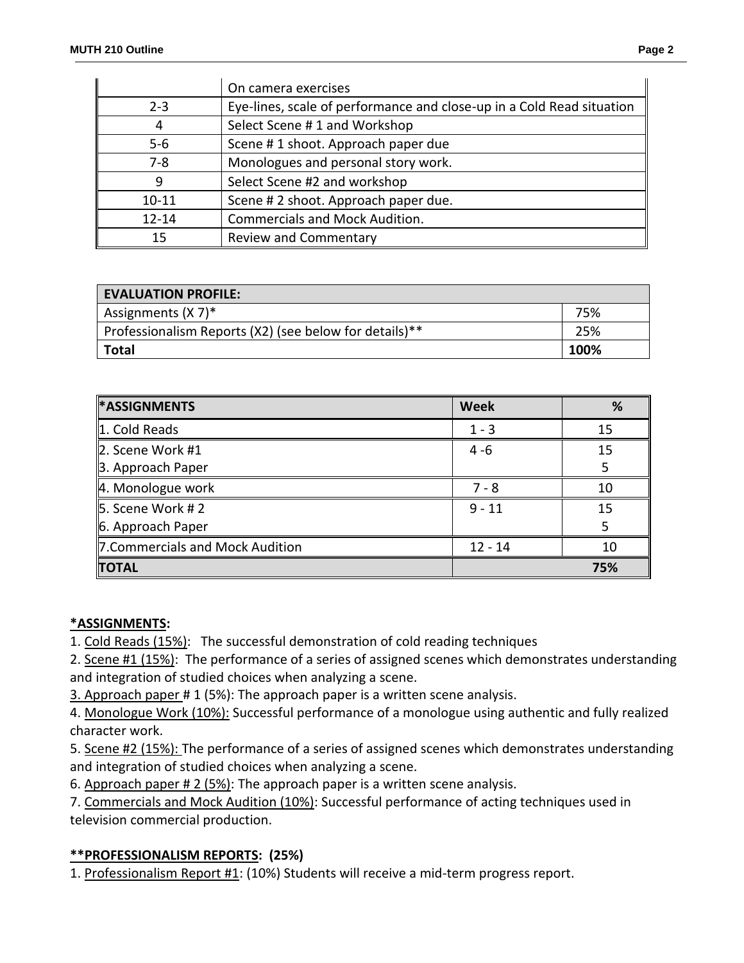|           | On camera exercises                                                   |
|-----------|-----------------------------------------------------------------------|
| $2 - 3$   | Eye-lines, scale of performance and close-up in a Cold Read situation |
| 4         | Select Scene #1 and Workshop                                          |
| $5 - 6$   | Scene #1 shoot. Approach paper due                                    |
| $7 - 8$   | Monologues and personal story work.                                   |
| 9         | Select Scene #2 and workshop                                          |
| $10 - 11$ | Scene # 2 shoot. Approach paper due.                                  |
| $12 - 14$ | <b>Commercials and Mock Audition.</b>                                 |
| 15        | <b>Review and Commentary</b>                                          |

| <b>EVALUATION PROFILE:</b>                             |      |
|--------------------------------------------------------|------|
| Assignments $(X 7)^*$                                  | 75%  |
| Professionalism Reports (X2) (see below for details)** | 25%  |
| Total                                                  | 100% |

| <b>*ASSIGNMENTS</b>              | <b>Week</b> | %   |
|----------------------------------|-------------|-----|
| 1. Cold Reads                    | $1 - 3$     | 15  |
| 2. Scene Work #1                 | $4 - 6$     | 15  |
| 3. Approach Paper                |             |     |
| 4. Monologue work                | $7 - 8$     | 10  |
| 5. Scene Work # 2                | $9 - 11$    | 15  |
| 6. Approach Paper                |             |     |
| 7. Commercials and Mock Audition | $12 - 14$   | 10  |
| <b>TOTAL</b>                     |             | 75% |

### **\*ASSIGNMENTS:**

1. Cold Reads (15%): The successful demonstration of cold reading techniques

2. Scene #1 (15%): The performance of a series of assigned scenes which demonstrates understanding and integration of studied choices when analyzing a scene.

3. Approach paper # 1 (5%): The approach paper is a written scene analysis.

4. Monologue Work (10%): Successful performance of a monologue using authentic and fully realized character work.

5. Scene #2 (15%): The performance of a series of assigned scenes which demonstrates understanding and integration of studied choices when analyzing a scene.

6. Approach paper # 2 (5%): The approach paper is a written scene analysis.

7. Commercials and Mock Audition (10%): Successful performance of acting techniques used in television commercial production.

# **\*\*PROFESSIONALISM REPORTS: (25%)**

1. Professionalism Report #1: (10%) Students will receive a mid-term progress report.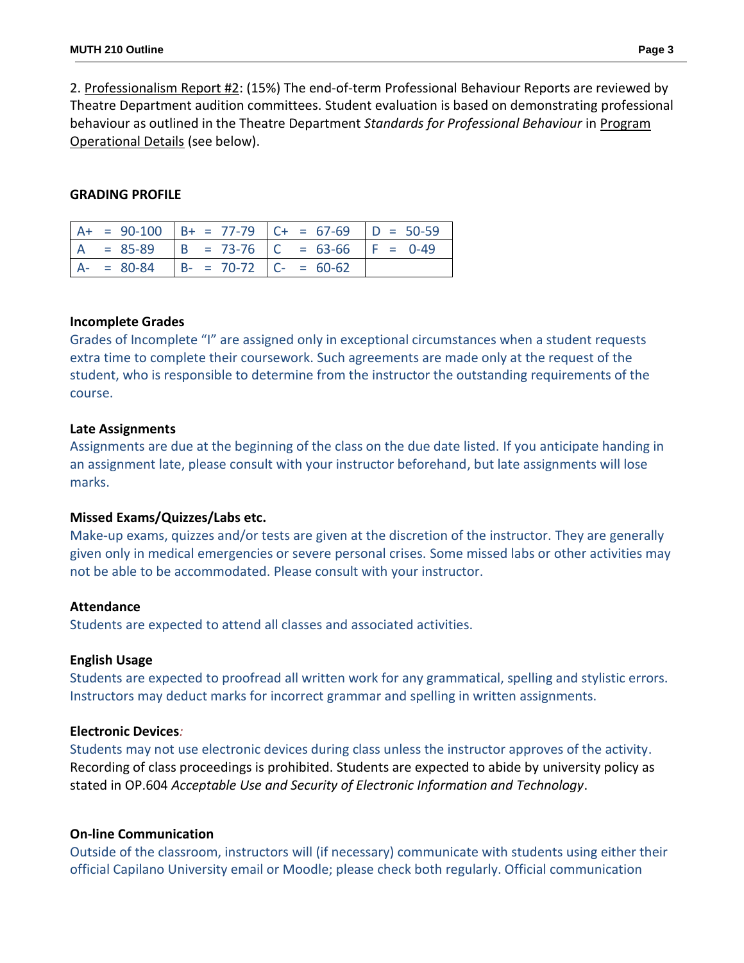2. Professionalism Report #2: (15%) The end-of-term Professional Behaviour Reports are reviewed by Theatre Department audition committees. Student evaluation is based on demonstrating professional behaviour as outlined in the Theatre Department *Standards for Professional Behaviour* in Program Operational Details (see below).

#### **GRADING PROFILE**

|  |                                        | $A+ = 90-100$ $B+ = 77-79$ $C+ = 67-69$ $D = 50-59$ |  |
|--|----------------------------------------|-----------------------------------------------------|--|
|  |                                        | $A = 85-89$ $B = 73-76$ $C = 63-66$ $F = 0-49$      |  |
|  | $A- = 80-84$ $B- = 70-72$ $C- = 60-62$ |                                                     |  |

#### **Incomplete Grades**

Grades of Incomplete "I" are assigned only in exceptional circumstances when a student requests extra time to complete their coursework. Such agreements are made only at the request of the student, who is responsible to determine from the instructor the outstanding requirements of the course.

#### **Late Assignments**

Assignments are due at the beginning of the class on the due date listed. If you anticipate handing in an assignment late, please consult with your instructor beforehand, but late assignments will lose marks.

### **Missed Exams/Quizzes/Labs etc.**

Make-up exams, quizzes and/or tests are given at the discretion of the instructor. They are generally given only in medical emergencies or severe personal crises. Some missed labs or other activities may not be able to be accommodated. Please consult with your instructor.

#### **Attendance**

Students are expected to attend all classes and associated activities.

#### **English Usage**

Students are expected to proofread all written work for any grammatical, spelling and stylistic errors. Instructors may deduct marks for incorrect grammar and spelling in written assignments.

### **Electronic Devices***:*

Students may not use electronic devices during class unless the instructor approves of the activity. Recording of class proceedings is prohibited. Students are expected to abide by university policy as stated in OP.604 *Acceptable Use and Security of Electronic Information and Technology*.

#### **On-line Communication**

Outside of the classroom, instructors will (if necessary) communicate with students using either their official Capilano University email or Moodle; please check both regularly. Official communication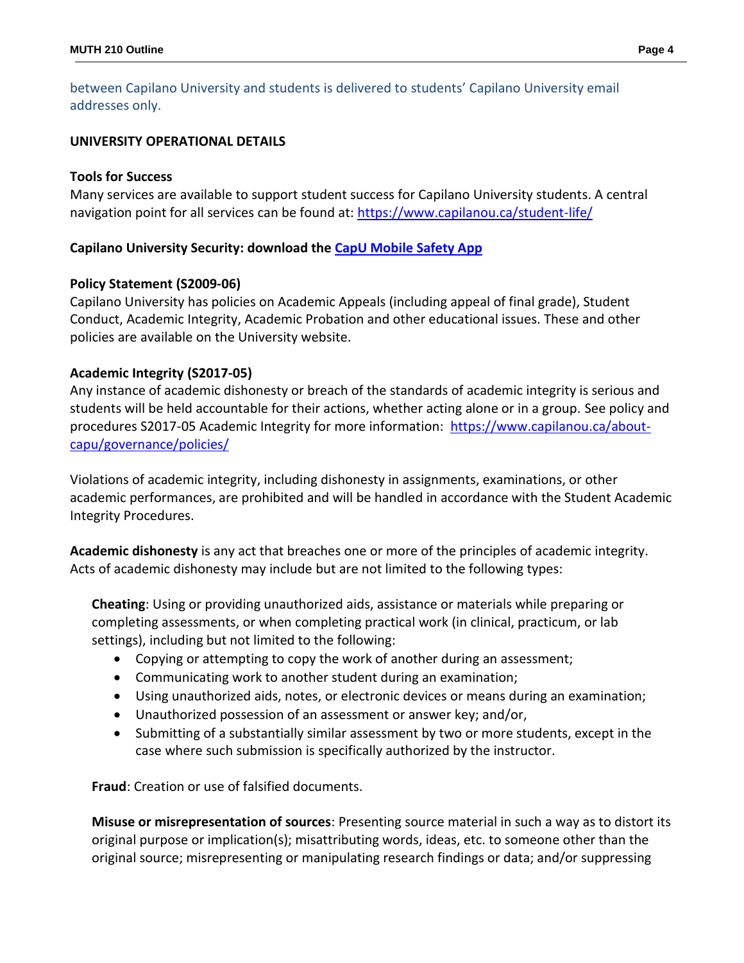between Capilano University and students is delivered to students' Capilano University email addresses only.

#### **UNIVERSITY OPERATIONAL DETAILS**

#### **Tools for Success**

Many services are available to support student success for Capilano University students. A central navigation point for all services can be found at:<https://www.capilanou.ca/student-life/>

#### **Capilano University Security: download the [CapU Mobile Safety App](https://www.capilanou.ca/student-life/support--wellness/safety--security/capu-safe-app/)**

#### **Policy Statement (S2009-06)**

Capilano University has policies on Academic Appeals (including appeal of final grade), Student Conduct, Academic Integrity, Academic Probation and other educational issues. These and other policies are available on the University website.

#### **Academic Integrity (S2017-05)**

Any instance of academic dishonesty or breach of the standards of academic integrity is serious and students will be held accountable for their actions, whether acting alone or in a group. See policy and procedures S2017-05 Academic Integrity for more information: [https://www.capilanou.ca/about](https://www.capilanou.ca/about-capu/governance/policies/)[capu/governance/policies/](https://www.capilanou.ca/about-capu/governance/policies/)

Violations of academic integrity, including dishonesty in assignments, examinations, or other academic performances, are prohibited and will be handled in accordance with the Student Academic Integrity Procedures.

**Academic dishonesty** is any act that breaches one or more of the principles of academic integrity. Acts of academic dishonesty may include but are not limited to the following types:

**Cheating**: Using or providing unauthorized aids, assistance or materials while preparing or completing assessments, or when completing practical work (in clinical, practicum, or lab settings), including but not limited to the following:

- Copying or attempting to copy the work of another during an assessment;
- Communicating work to another student during an examination;
- Using unauthorized aids, notes, or electronic devices or means during an examination;
- Unauthorized possession of an assessment or answer key; and/or,
- Submitting of a substantially similar assessment by two or more students, except in the case where such submission is specifically authorized by the instructor.

**Fraud**: Creation or use of falsified documents.

**Misuse or misrepresentation of sources**: Presenting source material in such a way as to distort its original purpose or implication(s); misattributing words, ideas, etc. to someone other than the original source; misrepresenting or manipulating research findings or data; and/or suppressing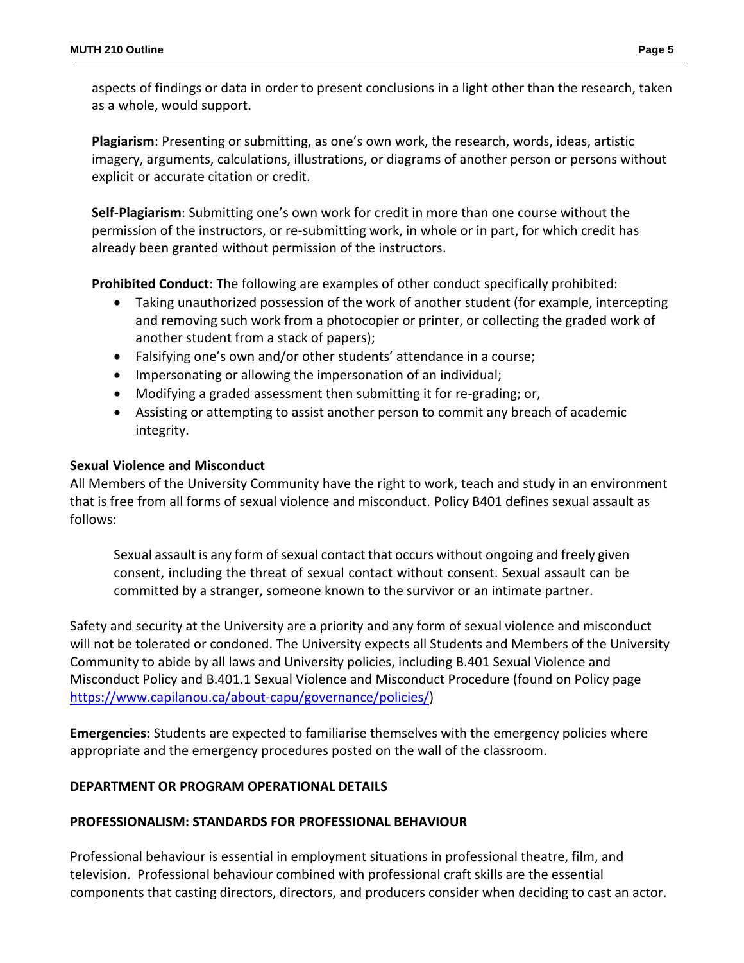aspects of findings or data in order to present conclusions in a light other than the research, taken as a whole, would support.

**Plagiarism**: Presenting or submitting, as one's own work, the research, words, ideas, artistic imagery, arguments, calculations, illustrations, or diagrams of another person or persons without explicit or accurate citation or credit.

**Self-Plagiarism**: Submitting one's own work for credit in more than one course without the permission of the instructors, or re-submitting work, in whole or in part, for which credit has already been granted without permission of the instructors.

**Prohibited Conduct**: The following are examples of other conduct specifically prohibited:

- Taking unauthorized possession of the work of another student (for example, intercepting and removing such work from a photocopier or printer, or collecting the graded work of another student from a stack of papers);
- Falsifying one's own and/or other students' attendance in a course;
- Impersonating or allowing the impersonation of an individual;
- Modifying a graded assessment then submitting it for re-grading; or,
- Assisting or attempting to assist another person to commit any breach of academic integrity.

### **Sexual Violence and Misconduct**

All Members of the University Community have the right to work, teach and study in an environment that is free from all forms of sexual violence and misconduct. Policy B401 defines sexual assault as follows:

Sexual assault is any form of sexual contact that occurs without ongoing and freely given consent, including the threat of sexual contact without consent. Sexual assault can be committed by a stranger, someone known to the survivor or an intimate partner.

Safety and security at the University are a priority and any form of sexual violence and misconduct will not be tolerated or condoned. The University expects all Students and Members of the University Community to abide by all laws and University policies, including B.401 Sexual Violence and Misconduct Policy and B.401.1 Sexual Violence and Misconduct Procedure (found on Policy page [https://www.capilanou.ca/about-capu/governance/policies/\)](https://www.capilanou.ca/about-capu/governance/policies/)

**Emergencies:** Students are expected to familiarise themselves with the emergency policies where appropriate and the emergency procedures posted on the wall of the classroom.

### **DEPARTMENT OR PROGRAM OPERATIONAL DETAILS**

### **PROFESSIONALISM: STANDARDS FOR PROFESSIONAL BEHAVIOUR**

Professional behaviour is essential in employment situations in professional theatre, film, and television. Professional behaviour combined with professional craft skills are the essential components that casting directors, directors, and producers consider when deciding to cast an actor.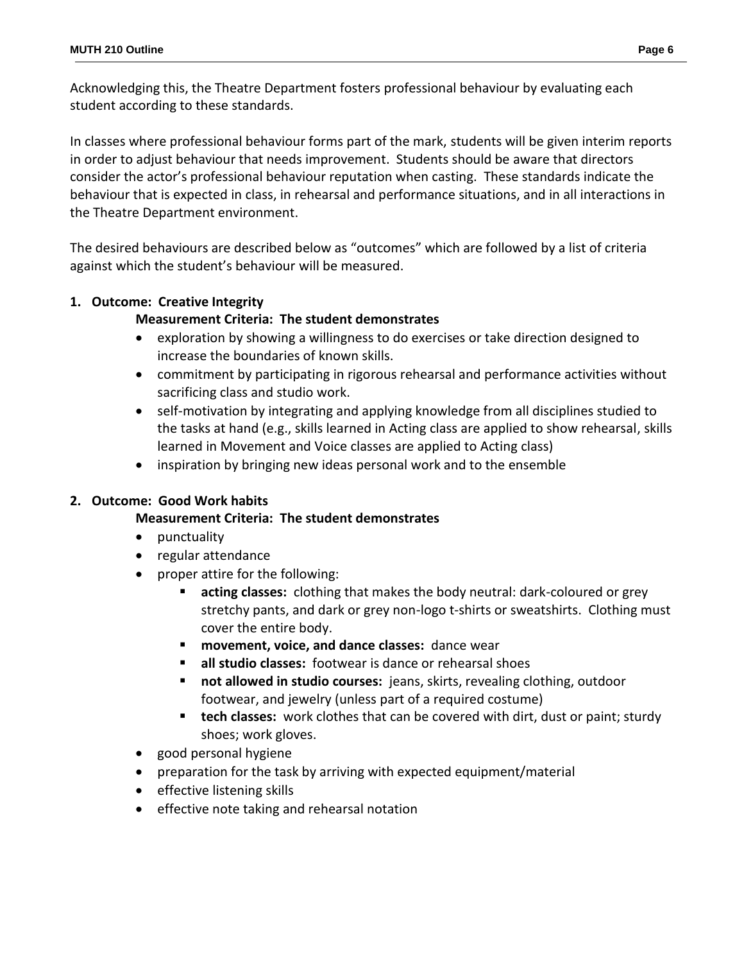Acknowledging this, the Theatre Department fosters professional behaviour by evaluating each student according to these standards.

In classes where professional behaviour forms part of the mark, students will be given interim reports in order to adjust behaviour that needs improvement. Students should be aware that directors consider the actor's professional behaviour reputation when casting. These standards indicate the behaviour that is expected in class, in rehearsal and performance situations, and in all interactions in the Theatre Department environment.

The desired behaviours are described below as "outcomes" which are followed by a list of criteria against which the student's behaviour will be measured.

## **1. Outcome: Creative Integrity**

### **Measurement Criteria: The student demonstrates**

- exploration by showing a willingness to do exercises or take direction designed to increase the boundaries of known skills.
- commitment by participating in rigorous rehearsal and performance activities without sacrificing class and studio work.
- self-motivation by integrating and applying knowledge from all disciplines studied to the tasks at hand (e.g., skills learned in Acting class are applied to show rehearsal, skills learned in Movement and Voice classes are applied to Acting class)
- inspiration by bringing new ideas personal work and to the ensemble

### **2. Outcome: Good Work habits**

### **Measurement Criteria: The student demonstrates**

- punctuality
- regular attendance
- proper attire for the following:
	- **acting classes:** clothing that makes the body neutral: dark-coloured or grey stretchy pants, and dark or grey non-logo t-shirts or sweatshirts. Clothing must cover the entire body.
	- **movement, voice, and dance classes:** dance wear
	- **all studio classes:** footwear is dance or rehearsal shoes
	- **not allowed in studio courses:** jeans, skirts, revealing clothing, outdoor footwear, and jewelry (unless part of a required costume)
	- **tech classes:** work clothes that can be covered with dirt, dust or paint; sturdy shoes; work gloves.
- good personal hygiene
- preparation for the task by arriving with expected equipment/material
- effective listening skills
- effective note taking and rehearsal notation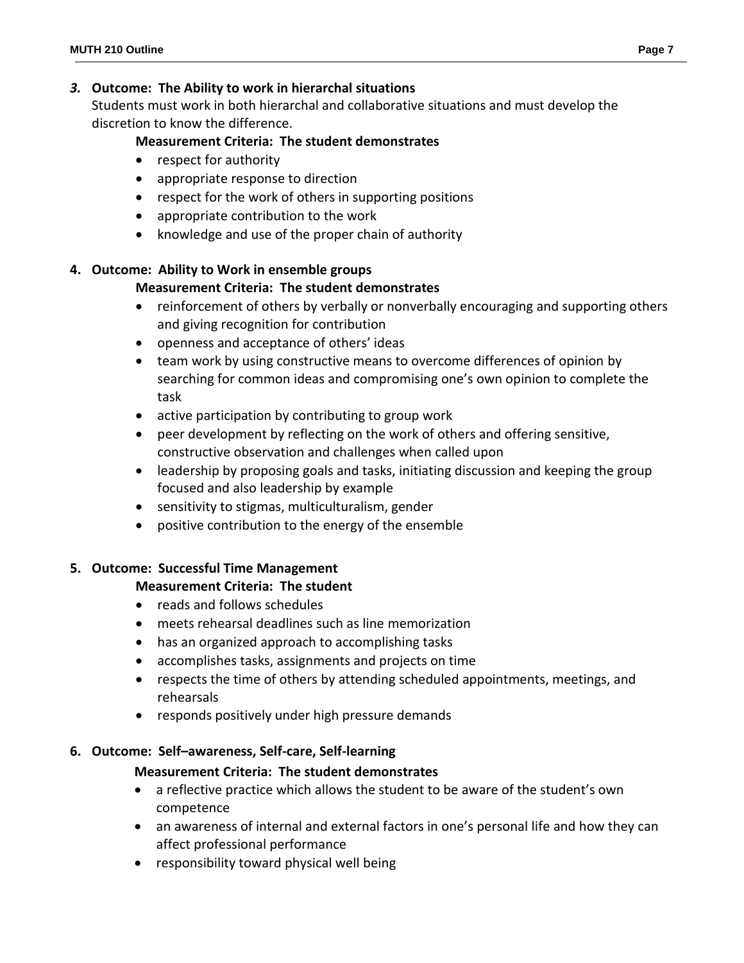### *3.* **Outcome: The Ability to work in hierarchal situations**

Students must work in both hierarchal and collaborative situations and must develop the discretion to know the difference.

## **Measurement Criteria: The student demonstrates**

- respect for authority
- appropriate response to direction
- respect for the work of others in supporting positions
- appropriate contribution to the work
- knowledge and use of the proper chain of authority

### **4. Outcome: Ability to Work in ensemble groups**

## **Measurement Criteria: The student demonstrates**

- reinforcement of others by verbally or nonverbally encouraging and supporting others and giving recognition for contribution
- openness and acceptance of others' ideas
- team work by using constructive means to overcome differences of opinion by searching for common ideas and compromising one's own opinion to complete the task
- active participation by contributing to group work
- peer development by reflecting on the work of others and offering sensitive, constructive observation and challenges when called upon
- leadership by proposing goals and tasks, initiating discussion and keeping the group focused and also leadership by example
- sensitivity to stigmas, multiculturalism, gender
- positive contribution to the energy of the ensemble

### **5. Outcome: Successful Time Management**

### **Measurement Criteria: The student**

- reads and follows schedules
- meets rehearsal deadlines such as line memorization
- has an organized approach to accomplishing tasks
- accomplishes tasks, assignments and projects on time
- respects the time of others by attending scheduled appointments, meetings, and rehearsals
- responds positively under high pressure demands

### **6. Outcome: Self–awareness, Self-care, Self-learning**

# **Measurement Criteria: The student demonstrates**

- a reflective practice which allows the student to be aware of the student's own competence
- an awareness of internal and external factors in one's personal life and how they can affect professional performance
- responsibility toward physical well being